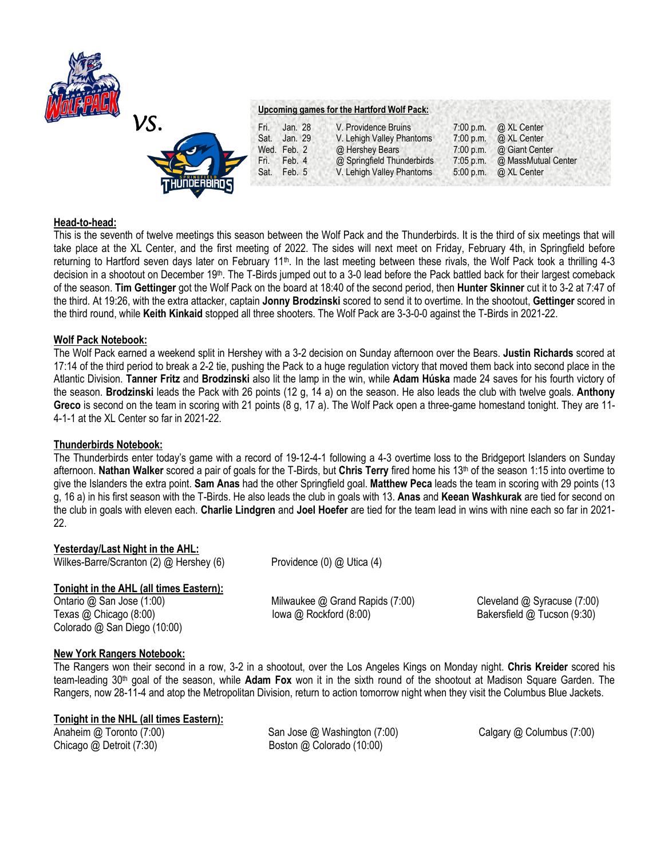

## **Head-to-head:**

This is the seventh of twelve meetings this season between the Wolf Pack and the Thunderbirds. It is the third of six meetings that will take place at the XL Center, and the first meeting of 2022. The sides will next meet on Friday, February 4th, in Springfield before returning to Hartford seven days later on February 11<sup>th</sup>. In the last meeting between these rivals, the Wolf Pack took a thrilling 4-3 decision in a shootout on December 19<sup>th</sup>. The T-Birds jumped out to a 3-0 lead before the Pack battled back for their largest comeback of the season. **Tim Gettinger** got the Wolf Pack on the board at 18:40 of the second period, then **Hunter Skinner** cut it to 3-2 at 7:47 of the third. At 19:26, with the extra attacker, captain **Jonny Brodzinski** scored to send it to overtime. In the shootout, **Gettinger** scored in the third round, while **Keith Kinkaid** stopped all three shooters. The Wolf Pack are 3-3-0-0 against the T-Birds in 2021-22.

## **Wolf Pack Notebook:**

The Wolf Pack earned a weekend split in Hershey with a 3-2 decision on Sunday afternoon over the Bears. **Justin Richards** scored at 17:14 of the third period to break a 2-2 tie, pushing the Pack to a huge regulation victory that moved them back into second place in the Atlantic Division. **Tanner Fritz** and **Brodzinski** also lit the lamp in the win, while **Adam Húska** made 24 saves for his fourth victory of the season. **Brodzinski** leads the Pack with 26 points (12 g, 14 a) on the season. He also leads the club with twelve goals. **Anthony**  Greco is second on the team in scoring with 21 points (8 g, 17 a). The Wolf Pack open a three-game homestand tonight. They are 11-4-1-1 at the XL Center so far in 2021-22.

### **Thunderbirds Notebook:**

The Thunderbirds enter today's game with a record of 19-12-4-1 following a 4-3 overtime loss to the Bridgeport Islanders on Sunday afternoon. **Nathan Walker** scored a pair of goals for the T-Birds, but **Chris Terry** fired home his 13th of the season 1:15 into overtime to give the Islanders the extra point. **Sam Anas** had the other Springfield goal. **Matthew Peca** leads the team in scoring with 29 points (13 g, 16 a) in his first season with the T-Birds. He also leads the club in goals with 13. **Anas** and **Keean Washkurak** are tied for second on the club in goals with eleven each. **Charlie Lindgren** and **Joel Hoefer** are tied for the team lead in wins with nine each so far in 2021- 22.

### **Yesterday/Last Night in the AHL:**

Wilkes-Barre/Scranton (2) @ Hershey (6) Providence (0) @ Utica (4)

# **Tonight in the AHL (all times Eastern):**

Colorado @ San Diego (10:00)

Ontario @ San Jose (1:00) Milwaukee @ Grand Rapids (7:00) Cleveland @ Syracuse (7:00) Texas @ Chicago (8:00) Iowa @ Rockford (8:00) Intervention Bakersfield @ Tucson (9:30)

# **New York Rangers Notebook:**

The Rangers won their second in a row, 3-2 in a shootout, over the Los Angeles Kings on Monday night. **Chris Kreider** scored his team-leading 30th goal of the season, while **Adam Fox** won it in the sixth round of the shootout at Madison Square Garden. The Rangers, now 28-11-4 and atop the Metropolitan Division, return to action tomorrow night when they visit the Columbus Blue Jackets.

# **Tonight in the NHL (all times Eastern):**

Anaheim @ Toronto (7:00) San Jose @ Washington (7:00) Calgary @ Columbus (7:00) Chicago @ Detroit (7:30) Boston @ Colorado (10:00)